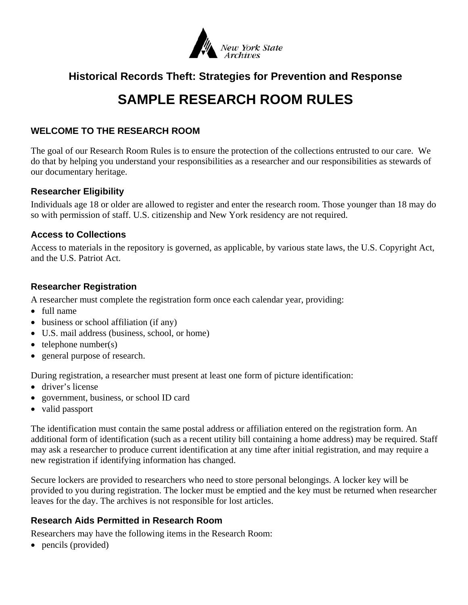

# **Historical Records Theft: Strategies for Prevention and Response**

# **SAMPLE RESEARCH ROOM RULES**

#### **WELCOME TO THE RESEARCH ROOM**

The goal of our Research Room Rules is to ensure the protection of the collections entrusted to our care. We do that by helping you understand your responsibilities as a researcher and our responsibilities as stewards of our documentary heritage.

#### **Researcher Eligibility**

Individuals age 18 or older are allowed to register and enter the research room. Those younger than 18 may do so with permission of staff. U.S. citizenship and New York residency are not required.

#### **Access to Collections**

Access to materials in the repository is governed, as applicable, by various state laws, the U.S. Copyright Act, and the U.S. Patriot Act.

### **Researcher Registration**

A researcher must complete the registration form once each calendar year, providing:

- full name
- business or school affiliation (if any)
- U.S. mail address (business, school, or home)
- $\bullet$  telephone number(s)
- general purpose of research.

During registration, a researcher must present at least one form of picture identification:

- driver's license
- government, business, or school ID card
- valid passport

The identification must contain the same postal address or affiliation entered on the registration form. An additional form of identification (such as a recent utility bill containing a home address) may be required. Staff may ask a researcher to produce current identification at any time after initial registration, and may require a new registration if identifying information has changed.

Secure lockers are provided to researchers who need to store personal belongings. A locker key will be provided to you during registration. The locker must be emptied and the key must be returned when researcher leaves for the day. The archives is not responsible for lost articles.

### **Research Aids Permitted in Research Room**

Researchers may have the following items in the Research Room:

• pencils (provided)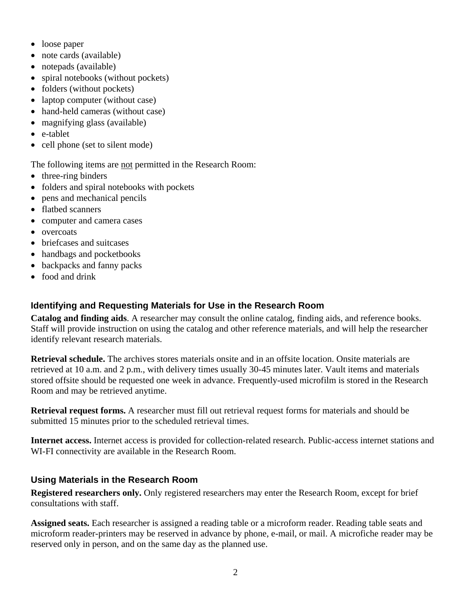- loose paper
- note cards (available)
- notepads (available)
- spiral notebooks (without pockets)
- folders (without pockets)
- laptop computer (without case)
- hand-held cameras (without case)
- magnifying glass (available)
- e-tablet
- cell phone (set to silent mode)

The following items are not permitted in the Research Room:

- three-ring binders
- folders and spiral notebooks with pockets
- pens and mechanical pencils
- flatbed scanners
- computer and camera cases
- overcoats
- briefcases and suitcases
- handbags and pocketbooks
- backpacks and fanny packs
- food and drink

## **Identifying and Requesting Materials for Use in the Research Room**

**Catalog and finding aids**. A researcher may consult the online catalog, finding aids, and reference books. Staff will provide instruction on using the catalog and other reference materials, and will help the researcher identify relevant research materials.

**Retrieval schedule.** The archives stores materials onsite and in an offsite location. Onsite materials are retrieved at 10 a.m. and 2 p.m., with delivery times usually 30-45 minutes later. Vault items and materials stored offsite should be requested one week in advance. Frequently-used microfilm is stored in the Research Room and may be retrieved anytime.

**Retrieval request forms.** A researcher must fill out retrieval request forms for materials and should be submitted 15 minutes prior to the scheduled retrieval times.

**Internet access.** Internet access is provided for collection-related research. Public-access internet stations and WI-FI connectivity are available in the Research Room.

### **Using Materials in the Research Room**

**Registered researchers only.** Only registered researchers may enter the Research Room, except for brief consultations with staff.

**Assigned seats.** Each researcher is assigned a reading table or a microform reader. Reading table seats and microform reader-printers may be reserved in advance by phone, e-mail, or mail. A microfiche reader may be reserved only in person, and on the same day as the planned use.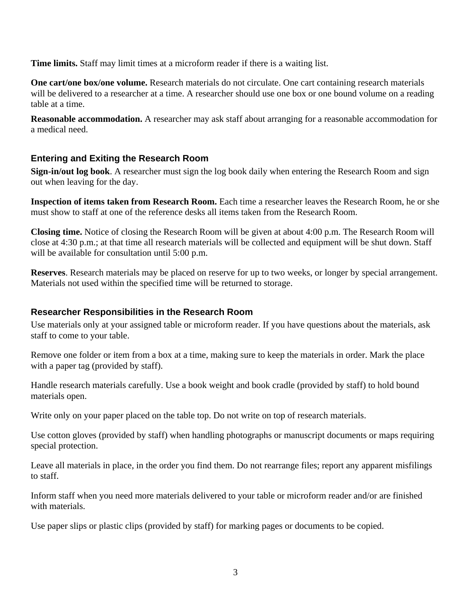**Time limits.** Staff may limit times at a microform reader if there is a waiting list.

**One cart/one box/one volume.** Research materials do not circulate. One cart containing research materials will be delivered to a researcher at a time. A researcher should use one box or one bound volume on a reading table at a time.

**Reasonable accommodation.** A researcher may ask staff about arranging for a reasonable accommodation for a medical need.

#### **Entering and Exiting the Research Room**

**Sign-in/out log book**. A researcher must sign the log book daily when entering the Research Room and sign out when leaving for the day.

**Inspection of items taken from Research Room.** Each time a researcher leaves the Research Room, he or she must show to staff at one of the reference desks all items taken from the Research Room.

**Closing time.** Notice of closing the Research Room will be given at about 4:00 p.m. The Research Room will close at 4:30 p.m.; at that time all research materials will be collected and equipment will be shut down. Staff will be available for consultation until 5:00 p.m.

**Reserves**. Research materials may be placed on reserve for up to two weeks, or longer by special arrangement. Materials not used within the specified time will be returned to storage.

#### **Researcher Responsibilities in the Research Room**

Use materials only at your assigned table or microform reader. If you have questions about the materials, ask staff to come to your table.

Remove one folder or item from a box at a time, making sure to keep the materials in order. Mark the place with a paper tag (provided by staff).

Handle research materials carefully. Use a book weight and book cradle (provided by staff) to hold bound materials open.

Write only on your paper placed on the table top. Do not write on top of research materials.

Use cotton gloves (provided by staff) when handling photographs or manuscript documents or maps requiring special protection.

Leave all materials in place, in the order you find them. Do not rearrange files; report any apparent misfilings to staff.

Inform staff when you need more materials delivered to your table or microform reader and/or are finished with materials.

Use paper slips or plastic clips (provided by staff) for marking pages or documents to be copied.